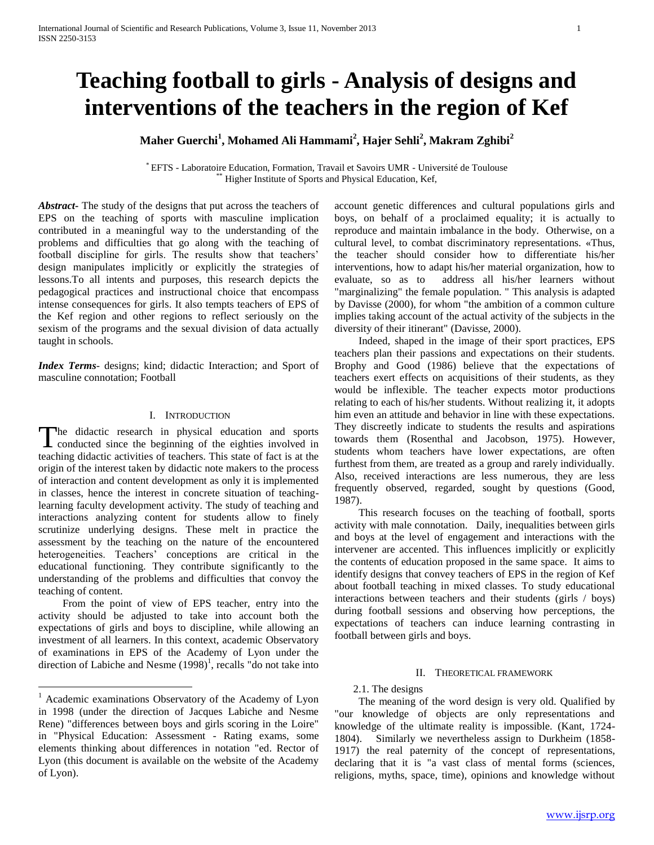# **Teaching football to girls - Analysis of designs and interventions of the teachers in the region of Kef**

**Maher Guerchi<sup>1</sup> , Mohamed Ali Hammami<sup>2</sup> , Hajer Sehli<sup>2</sup> , Makram Zghibi<sup>2</sup>**

\* EFTS - Laboratoire Education, Formation, Travail et Savoirs UMR - Université de Toulouse Higher Institute of Sports and Physical Education, Kef,

*Abstract***-** The study of the designs that put across the teachers of EPS on the teaching of sports with masculine implication contributed in a meaningful way to the understanding of the problems and difficulties that go along with the teaching of football discipline for girls. The results show that teachers' design manipulates implicitly or explicitly the strategies of lessons.To all intents and purposes, this research depicts the pedagogical practices and instructional choice that encompass intense consequences for girls. It also tempts teachers of EPS of the Kef region and other regions to reflect seriously on the sexism of the programs and the sexual division of data actually taught in schools.

*Index Terms*- designs; kind; didactic Interaction; and Sport of masculine connotation; Football

# I. INTRODUCTION

he didactic research in physical education and sports The didactic research in physical education and sports<br>conducted since the beginning of the eighties involved in teaching didactic activities of teachers. This state of fact is at the origin of the interest taken by didactic note makers to the process of interaction and content development as only it is implemented in classes, hence the interest in concrete situation of teachinglearning faculty development activity. The study of teaching and interactions analyzing content for students allow to finely scrutinize underlying designs. These melt in practice the assessment by the teaching on the nature of the encountered heterogeneities. Teachers' conceptions are critical in the educational functioning. They contribute significantly to the understanding of the problems and difficulties that convoy the teaching of content.

 From the point of view of EPS teacher, entry into the activity should be adjusted to take into account both the expectations of girls and boys to discipline, while allowing an investment of all learners. In this context, academic Observatory of examinations in EPS of the Academy of Lyon under the direction of Labiche and Nesme  $(1998)^1$ , recalls "do not take into

 $\overline{a}$ 

account genetic differences and cultural populations girls and boys, on behalf of a proclaimed equality; it is actually to reproduce and maintain imbalance in the body. Otherwise, on a cultural level, to combat discriminatory representations. «Thus, the teacher should consider how to differentiate his/her interventions, how to adapt his/her material organization, how to evaluate, so as to address all his/her learners without "marginalizing" the female population. " This analysis is adapted by Davisse (2000), for whom "the ambition of a common culture implies taking account of the actual activity of the subjects in the diversity of their itinerant" (Davisse, 2000).

 Indeed, shaped in the image of their sport practices, EPS teachers plan their passions and expectations on their students. Brophy and Good (1986) believe that the expectations of teachers exert effects on acquisitions of their students, as they would be inflexible. The teacher expects motor productions relating to each of his/her students. Without realizing it, it adopts him even an attitude and behavior in line with these expectations. They discreetly indicate to students the results and aspirations towards them (Rosenthal and Jacobson, 1975). However, students whom teachers have lower expectations, are often furthest from them, are treated as a group and rarely individually. Also, received interactions are less numerous, they are less frequently observed, regarded, sought by questions (Good, 1987).

 This research focuses on the teaching of football, sports activity with male connotation. Daily, inequalities between girls and boys at the level of engagement and interactions with the intervener are accented. This influences implicitly or explicitly the contents of education proposed in the same space. It aims to identify designs that convey teachers of EPS in the region of Kef about football teaching in mixed classes. To study educational interactions between teachers and their students (girls / boys) during football sessions and observing how perceptions, the expectations of teachers can induce learning contrasting in football between girls and boys.

## II. THEORETICAL FRAMEWORK

# 2.1. The designs

 The meaning of the word design is very old. Qualified by "our knowledge of objects are only representations and knowledge of the ultimate reality is impossible. (Kant, 1724- 1804). Similarly we nevertheless assign to Durkheim (1858- 1917) the real paternity of the concept of representations, declaring that it is "a vast class of mental forms (sciences, religions, myths, space, time), opinions and knowledge without

<sup>&</sup>lt;sup>1</sup> Academic examinations Observatory of the Academy of Lyon in 1998 (under the direction of Jacques Labiche and Nesme Rene) "differences between boys and girls scoring in the Loire" in "Physical Education: Assessment - Rating exams, some elements thinking about differences in notation "ed. Rector of Lyon (this document is available on the website of the Academy of Lyon).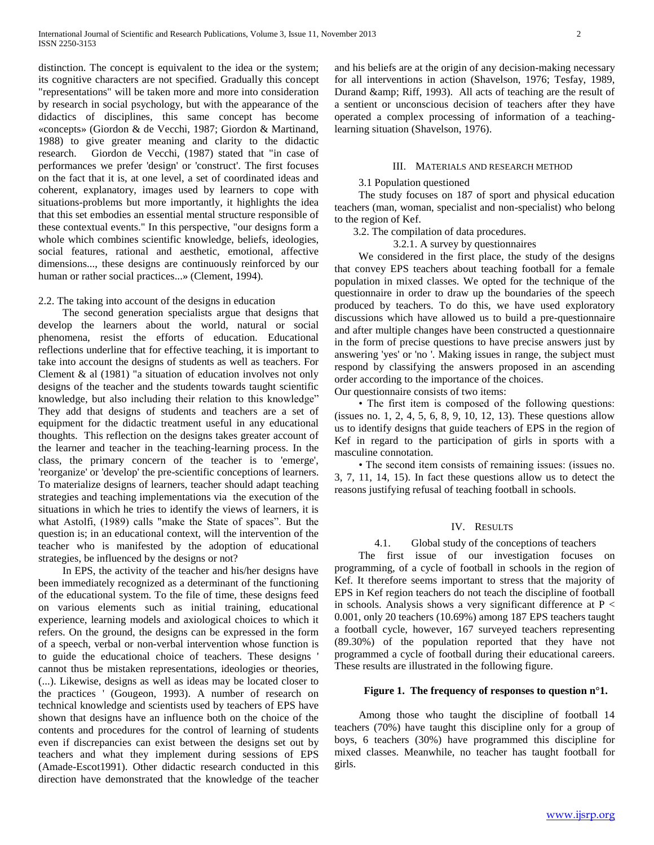distinction. The concept is equivalent to the idea or the system; its cognitive characters are not specified. Gradually this concept "representations" will be taken more and more into consideration by research in social psychology, but with the appearance of the didactics of disciplines, this same concept has become «concepts» (Giordon & de Vecchi, 1987; Giordon & Martinand, 1988) to give greater meaning and clarity to the didactic research. Giordon de Vecchi, (1987) stated that "in case of performances we prefer 'design' or 'construct'. The first focuses on the fact that it is, at one level, a set of coordinated ideas and coherent, explanatory, images used by learners to cope with situations-problems but more importantly, it highlights the idea that this set embodies an essential mental structure responsible of these contextual events." In this perspective, "our designs form a whole which combines scientific knowledge, beliefs, ideologies, social features, rational and aesthetic, emotional, affective dimensions..., these designs are continuously reinforced by our human or rather social practices...» (Clement, 1994).

# 2.2. The taking into account of the designs in education

 The second generation specialists argue that designs that develop the learners about the world, natural or social phenomena, resist the efforts of education. Educational reflections underline that for effective teaching, it is important to take into account the designs of students as well as teachers. For Clement & al (1981) "a situation of education involves not only designs of the teacher and the students towards taught scientific knowledge, but also including their relation to this knowledge" They add that designs of students and teachers are a set of equipment for the didactic treatment useful in any educational thoughts. This reflection on the designs takes greater account of the learner and teacher in the teaching-learning process. In the class, the primary concern of the teacher is to 'emerge', 'reorganize' or 'develop' the pre-scientific conceptions of learners. To materialize designs of learners, teacher should adapt teaching strategies and teaching implementations via the execution of the situations in which he tries to identify the views of learners, it is what Astolfi, (1989) calls "make the State of spaces". But the question is; in an educational context, will the intervention of the teacher who is manifested by the adoption of educational strategies, be influenced by the designs or not?

 In EPS, the activity of the teacher and his/her designs have been immediately recognized as a determinant of the functioning of the educational system. To the file of time, these designs feed on various elements such as initial training, educational experience, learning models and axiological choices to which it refers. On the ground, the designs can be expressed in the form of a speech, verbal or non-verbal intervention whose function is to guide the educational choice of teachers. These designs ' cannot thus be mistaken representations, ideologies or theories, (...). Likewise, designs as well as ideas may be located closer to the practices ' (Gougeon, 1993). A number of research on technical knowledge and scientists used by teachers of EPS have shown that designs have an influence both on the choice of the contents and procedures for the control of learning of students even if discrepancies can exist between the designs set out by teachers and what they implement during sessions of EPS (Amade-Escot1991). Other didactic research conducted in this direction have demonstrated that the knowledge of the teacher

and his beliefs are at the origin of any decision-making necessary for all interventions in action (Shavelson, 1976; Tesfay, 1989, Durand & amp; Riff, 1993). All acts of teaching are the result of a sentient or unconscious decision of teachers after they have operated a complex processing of information of a teachinglearning situation (Shavelson, 1976).

# III. MATERIALS AND RESEARCH METHOD

# 3.1 Population questioned

 The study focuses on 187 of sport and physical education teachers (man, woman, specialist and non-specialist) who belong to the region of Kef.

3.2. The compilation of data procedures.

3.2.1. A survey by questionnaires

 We considered in the first place, the study of the designs that convey EPS teachers about teaching football for a female population in mixed classes. We opted for the technique of the questionnaire in order to draw up the boundaries of the speech produced by teachers. To do this, we have used exploratory discussions which have allowed us to build a pre-questionnaire and after multiple changes have been constructed a questionnaire in the form of precise questions to have precise answers just by answering 'yes' or 'no '. Making issues in range, the subject must respond by classifying the answers proposed in an ascending order according to the importance of the choices.

Our questionnaire consists of two items:

 • The first item is composed of the following questions: (issues no. 1, 2, 4, 5, 6, 8, 9, 10, 12, 13). These questions allow us to identify designs that guide teachers of EPS in the region of Kef in regard to the participation of girls in sports with a masculine connotation.

 • The second item consists of remaining issues: (issues no. 3, 7, 11, 14, 15). In fact these questions allow us to detect the reasons justifying refusal of teaching football in schools.

# IV. RESULTS

# 4.1. Global study of the conceptions of teachers

 The first issue of our investigation focuses on programming, of a cycle of football in schools in the region of Kef. It therefore seems important to stress that the majority of EPS in Kef region teachers do not teach the discipline of football in schools. Analysis shows a very significant difference at  $P <$ 0.001, only 20 teachers (10.69%) among 187 EPS teachers taught a football cycle, however, 167 surveyed teachers representing (89.30%) of the population reported that they have not programmed a cycle of football during their educational careers. These results are illustrated in the following figure.

# **Figure 1. The frequency of responses to question n°1.**

 Among those who taught the discipline of football 14 teachers (70%) have taught this discipline only for a group of boys, 6 teachers (30%) have programmed this discipline for mixed classes. Meanwhile, no teacher has taught football for girls.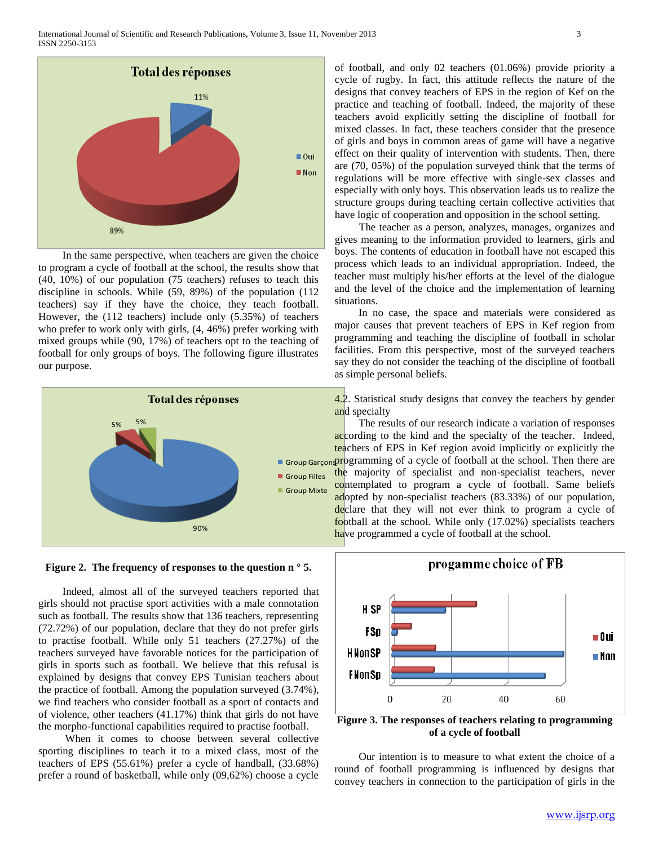

 In the same perspective, when teachers are given the choice to program a cycle of football at the school, the results show that (40, 10%) of our population (75 teachers) refuses to teach this discipline in schools. While (59, 89%) of the population (112 teachers) say if they have the choice, they teach football. However, the (112 teachers) include only (5.35%) of teachers who prefer to work only with girls, (4, 46%) prefer working with mixed groups while (90, 17%) of teachers opt to the teaching of football for only groups of boys. The following figure illustrates our purpose.





 Indeed, almost all of the surveyed teachers reported that girls should not practise sport activities with a male connotation such as football. The results show that 136 teachers, representing (72.72%) of our population, declare that they do not prefer girls to practise football. While only 51 teachers (27.27%) of the teachers surveyed have favorable notices for the participation of girls in sports such as football. We believe that this refusal is explained by designs that convey EPS Tunisian teachers about the practice of football. Among the population surveyed (3.74%), we find teachers who consider football as a sport of contacts and of violence, other teachers (41.17%) think that girls do not have the morpho-functional capabilities required to practise football.

When it comes to choose between several collective sporting disciplines to teach it to a mixed class, most of the teachers of EPS (55.61%) prefer a cycle of handball, (33.68%) prefer a round of basketball, while only (09,62%) choose a cycle of football, and only 02 teachers (01.06%) provide priority a cycle of rugby. In fact, this attitude reflects the nature of the designs that convey teachers of EPS in the region of Kef on the practice and teaching of football. Indeed, the majority of these teachers avoid explicitly setting the discipline of football for mixed classes. In fact, these teachers consider that the presence of girls and boys in common areas of game will have a negative effect on their quality of intervention with students. Then, there are (70, 05%) of the population surveyed think that the terms of regulations will be more effective with single-sex classes and especially with only boys. This observation leads us to realize the structure groups during teaching certain collective activities that have logic of cooperation and opposition in the school setting.

 The teacher as a person, analyzes, manages, organizes and gives meaning to the information provided to learners, girls and boys. The contents of education in football have not escaped this process which leads to an individual appropriation. Indeed, the teacher must multiply his/her efforts at the level of the dialogue and the level of the choice and the implementation of learning situations.

 In no case, the space and materials were considered as major causes that prevent teachers of EPS in Kef region from programming and teaching the discipline of football in scholar facilities. From this perspective, most of the surveyed teachers say they do not consider the teaching of the discipline of football as simple personal beliefs.

4.2. Statistical study designs that convey the teachers by gender and specialty

Group Garçon Programming of a cycle of football at the school. Then there are The results of our research indicate a variation of responses according to the kind and the specialty of the teacher. Indeed, teachers of EPS in Kef region avoid implicitly or explicitly the the majority of specialist and non-specialist teachers, never contemplated to program a cycle of football. Same beliefs adopted by non-specialist teachers (83.33%) of our population, declare that they will not ever think to program a cycle of football at the school. While only (17.02%) specialists teachers have programmed a cycle of football at the school.



**Figure 3. The responses of teachers relating to programming of a cycle of football**

 Our intention is to measure to what extent the choice of a round of football programming is influenced by designs that convey teachers in connection to the participation of girls in the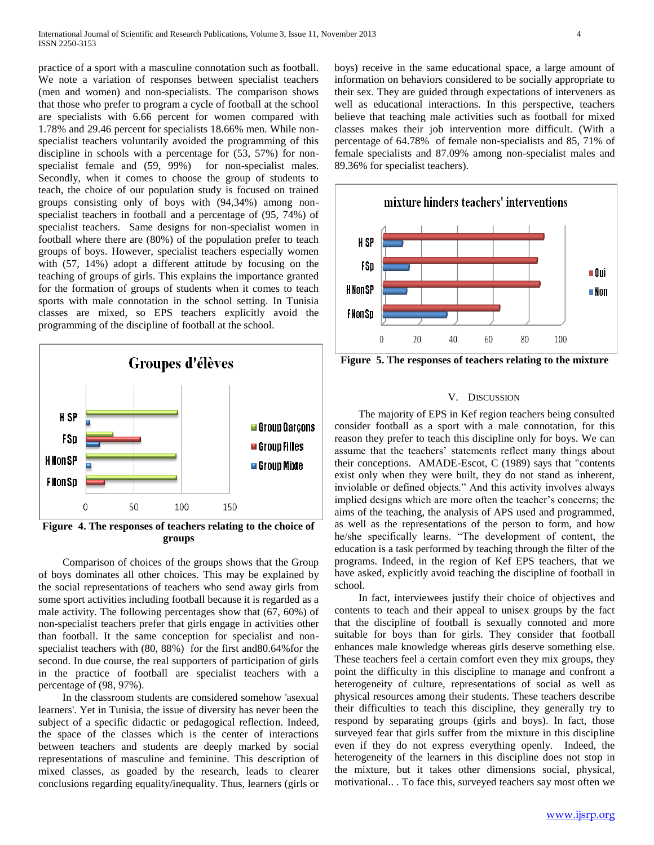practice of a sport with a masculine connotation such as football. We note a variation of responses between specialist teachers (men and women) and non-specialists. The comparison shows that those who prefer to program a cycle of football at the school are specialists with 6.66 percent for women compared with 1.78% and 29.46 percent for specialists 18.66% men. While nonspecialist teachers voluntarily avoided the programming of this discipline in schools with a percentage for (53, 57%) for nonspecialist female and (59, 99%) for non-specialist males. Secondly, when it comes to choose the group of students to teach, the choice of our population study is focused on trained groups consisting only of boys with (94,34%) among nonspecialist teachers in football and a percentage of (95, 74%) of specialist teachers. Same designs for non-specialist women in football where there are (80%) of the population prefer to teach groups of boys. However, specialist teachers especially women with (57, 14%) adopt a different attitude by focusing on the teaching of groups of girls. This explains the importance granted for the formation of groups of students when it comes to teach sports with male connotation in the school setting. In Tunisia classes are mixed, so EPS teachers explicitly avoid the programming of the discipline of football at the school.



**Figure 4. The responses of teachers relating to the choice of groups**

 Comparison of choices of the groups shows that the Group of boys dominates all other choices. This may be explained by the social representations of teachers who send away girls from some sport activities including football because it is regarded as a male activity. The following percentages show that (67, 60%) of non-specialist teachers prefer that girls engage in activities other than football. It the same conception for specialist and nonspecialist teachers with (80, 88%) for the first and80.64%for the second. In due course, the real supporters of participation of girls in the practice of football are specialist teachers with a percentage of (98, 97%).

 In the classroom students are considered somehow 'asexual learners'. Yet in Tunisia, the issue of diversity has never been the subject of a specific didactic or pedagogical reflection. Indeed, the space of the classes which is the center of interactions between teachers and students are deeply marked by social representations of masculine and feminine. This description of mixed classes, as goaded by the research, leads to clearer conclusions regarding equality/inequality. Thus, learners (girls or boys) receive in the same educational space, a large amount of information on behaviors considered to be socially appropriate to their sex. They are guided through expectations of interveners as well as educational interactions. In this perspective, teachers believe that teaching male activities such as football for mixed classes makes their job intervention more difficult. (With a percentage of 64.78% of female non-specialists and 85, 71% of female specialists and 87.09% among non-specialist males and 89.36% for specialist teachers).



**Figure 5. The responses of teachers relating to the mixture**

### V. DISCUSSION

 The majority of EPS in Kef region teachers being consulted consider football as a sport with a male connotation, for this reason they prefer to teach this discipline only for boys. We can assume that the teachers' statements reflect many things about their conceptions. AMADE-Escot, C (1989) says that "contents exist only when they were built, they do not stand as inherent, inviolable or defined objects." And this activity involves always implied designs which are more often the teacher's concerns; the aims of the teaching, the analysis of APS used and programmed, as well as the representations of the person to form, and how he/she specifically learns. "The development of content, the education is a task performed by teaching through the filter of the programs. Indeed, in the region of Kef EPS teachers, that we have asked, explicitly avoid teaching the discipline of football in school.

 In fact, interviewees justify their choice of objectives and contents to teach and their appeal to unisex groups by the fact that the discipline of football is sexually connoted and more suitable for boys than for girls. They consider that football enhances male knowledge whereas girls deserve something else. These teachers feel a certain comfort even they mix groups, they point the difficulty in this discipline to manage and confront a heterogeneity of culture, representations of social as well as physical resources among their students. These teachers describe their difficulties to teach this discipline, they generally try to respond by separating groups (girls and boys). In fact, those surveyed fear that girls suffer from the mixture in this discipline even if they do not express everything openly. Indeed, the heterogeneity of the learners in this discipline does not stop in the mixture, but it takes other dimensions social, physical, motivational.. . To face this, surveyed teachers say most often we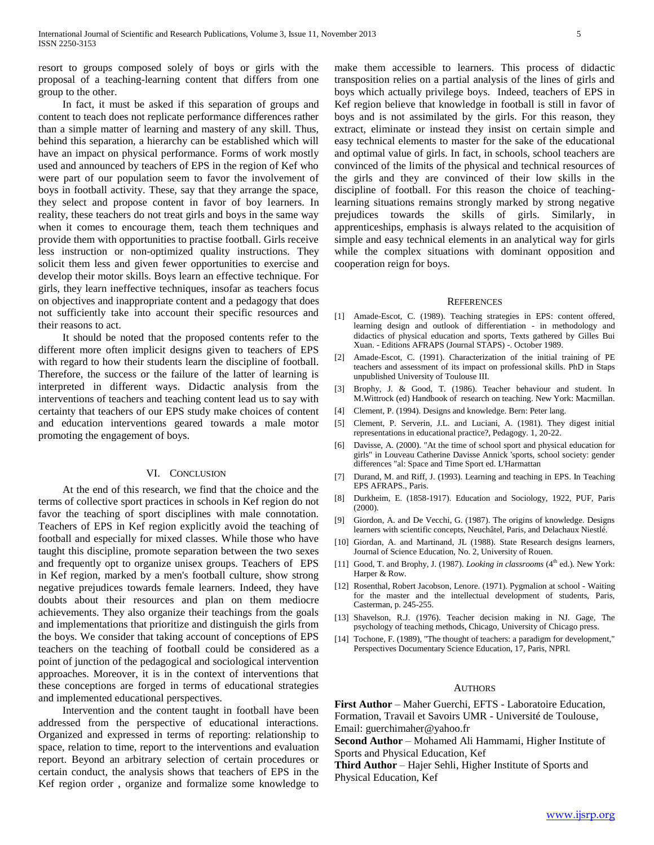resort to groups composed solely of boys or girls with the proposal of a teaching-learning content that differs from one group to the other.

 In fact, it must be asked if this separation of groups and content to teach does not replicate performance differences rather than a simple matter of learning and mastery of any skill. Thus, behind this separation, a hierarchy can be established which will have an impact on physical performance. Forms of work mostly used and announced by teachers of EPS in the region of Kef who were part of our population seem to favor the involvement of boys in football activity. These, say that they arrange the space, they select and propose content in favor of boy learners. In reality, these teachers do not treat girls and boys in the same way when it comes to encourage them, teach them techniques and provide them with opportunities to practise football. Girls receive less instruction or non-optimized quality instructions. They solicit them less and given fewer opportunities to exercise and develop their motor skills. Boys learn an effective technique. For girls, they learn ineffective techniques, insofar as teachers focus on objectives and inappropriate content and a pedagogy that does not sufficiently take into account their specific resources and their reasons to act.

 It should be noted that the proposed contents refer to the different more often implicit designs given to teachers of EPS with regard to how their students learn the discipline of football. Therefore, the success or the failure of the latter of learning is interpreted in different ways. Didactic analysis from the interventions of teachers and teaching content lead us to say with certainty that teachers of our EPS study make choices of content and education interventions geared towards a male motor promoting the engagement of boys.

# VI. CONCLUSION

 At the end of this research, we find that the choice and the terms of collective sport practices in schools in Kef region do not favor the teaching of sport disciplines with male connotation. Teachers of EPS in Kef region explicitly avoid the teaching of football and especially for mixed classes. While those who have taught this discipline, promote separation between the two sexes and frequently opt to organize unisex groups. Teachers of EPS in Kef region, marked by a men's football culture, show strong negative prejudices towards female learners. Indeed, they have doubts about their resources and plan on them mediocre achievements. They also organize their teachings from the goals and implementations that prioritize and distinguish the girls from the boys. We consider that taking account of conceptions of EPS teachers on the teaching of football could be considered as a point of junction of the pedagogical and sociological intervention approaches. Moreover, it is in the context of interventions that these conceptions are forged in terms of educational strategies and implemented educational perspectives.

 Intervention and the content taught in football have been addressed from the perspective of educational interactions. Organized and expressed in terms of reporting: relationship to space, relation to time, report to the interventions and evaluation report. Beyond an arbitrary selection of certain procedures or certain conduct, the analysis shows that teachers of EPS in the Kef region order , organize and formalize some knowledge to

make them accessible to learners. This process of didactic transposition relies on a partial analysis of the lines of girls and boys which actually privilege boys. Indeed, teachers of EPS in Kef region believe that knowledge in football is still in favor of boys and is not assimilated by the girls. For this reason, they extract, eliminate or instead they insist on certain simple and easy technical elements to master for the sake of the educational and optimal value of girls. In fact, in schools, school teachers are convinced of the limits of the physical and technical resources of the girls and they are convinced of their low skills in the discipline of football. For this reason the choice of teachinglearning situations remains strongly marked by strong negative prejudices towards the skills of girls. Similarly, in apprenticeships, emphasis is always related to the acquisition of simple and easy technical elements in an analytical way for girls while the complex situations with dominant opposition and cooperation reign for boys.

#### **REFERENCES**

- [1] Amade-Escot, C. (1989). Teaching strategies in EPS: content offered, learning design and outlook of differentiation - in methodology and didactics of physical education and sports, Texts gathered by Gilles Bui Xuan. - Editions AFRAPS (Journal STAPS) -. October 1989.
- [2] Amade-Escot, C. (1991). Characterization of the initial training of PE teachers and assessment of its impact on professional skills. PhD in Staps unpublished University of Toulouse III.
- [3] Brophy, J. & Good, T. (1986). Teacher behaviour and student. In M.Wittrock (ed) Handbook of research on teaching. New York: Macmillan.
- [4] Clement, P. (1994). Designs and knowledge. Bern: Peter lang.
- [5] Clement, P. Serverin, J.L. and Luciani, A. (1981). They digest initial representations in educational practice?, Pedagogy. 1, 20-22.
- [6] Davisse, A. (2000). "At the time of school sport and physical education for girls" in Louveau Catherine Davisse Annick 'sports, school society: gender differences "al: Space and Time Sport ed. L'Harmattan
- [7] Durand, M. and Riff, J. (1993). Learning and teaching in EPS. In Teaching EPS AFRAPS., Paris.
- [8] Durkheim, E. (1858-1917). Education and Sociology, 1922, PUF, Paris (2000).
- [9] Giordon, A. and De Vecchi, G. (1987). The origins of knowledge. Designs learners with scientific concepts, Neuchâtel, Paris, and Delachaux Niestlé.
- [10] Giordan, A. and Martinand, JL (1988). State Research designs learners, Journal of Science Education, No. 2, University of Rouen.
- [11] Good, T. and Brophy, J. (1987). *Looking in classrooms* (4<sup>th</sup> ed.). New York: Harper & Row.
- [12] Rosenthal, Robert Jacobson, Lenore. (1971). Pygmalion at school Waiting for the master and the intellectual development of students, Paris, Casterman, p. 245-255.
- [13] Shavelson, R.J. (1976). Teacher decision making in NJ. Gage, The psychology of teaching methods, Chicago, University of Chicago press.
- [14] Tochone, F. (1989), "The thought of teachers: a paradigm for development," Perspectives Documentary Science Education, 17, Paris, NPRI.

## AUTHORS

**First Author** – Maher Guerchi, EFTS - Laboratoire Education, Formation, Travail et Savoirs UMR - Université de Toulouse, Email: guerchimaher@yahoo.fr

**Second Author** – Mohamed Ali Hammami, Higher Institute of Sports and Physical Education, Kef

**Third Author** – Hajer Sehli, Higher Institute of Sports and Physical Education, Kef